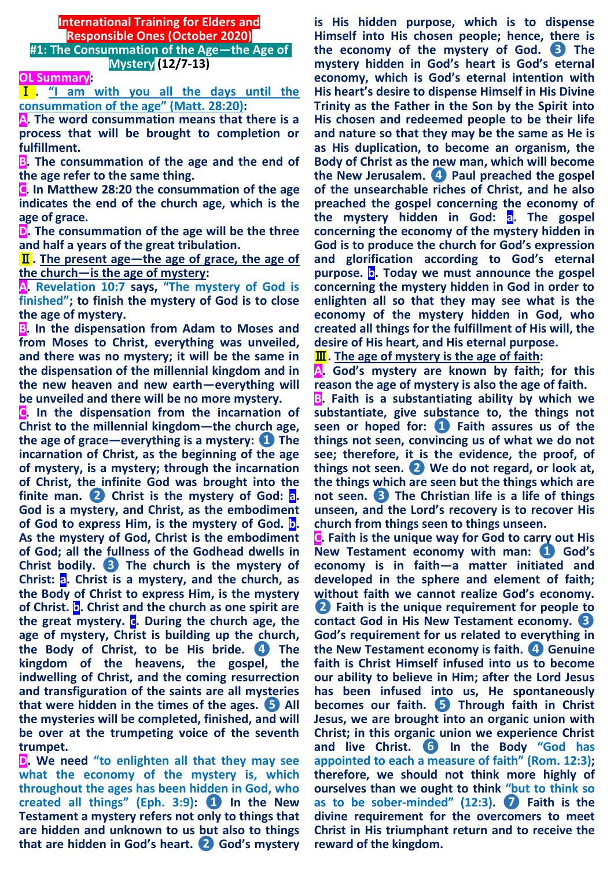## **International Training for Elders and Responsible Ones (October 2020) #1: The Consummation of the Age—the Age of**

**OL Summary:**

Ⅰ **. "I am with you all the days until the consummation of the age" (Matt. 28:20):**

**Mystery (12/7-13)** 

**A. The word consummation means that there is a process that will be brought to completion or fulfillment.**

**B. The consummation of the age and the end of the age refer to the same thing.**

**C. In Matthew 28:20 the consummation of the age indicates the end of the church age, which is the age of grace.**

**D. The consummation of the age will be the three and half a years of the great tribulation.**

Ⅱ**. The present age—the age of grace, the age of the church—is the age of mystery:**

**A. Revelation 10:7 says, "The mystery of God is finished"; to finish the mystery of God is to close the age of mystery.**

**B. In the dispensation from Adam to Moses and from Moses to Christ, everything was unveiled, and there was no mystery; it will be the same in the dispensation of the millennial kingdom and in the new heaven and new earth—everything will be unveiled and there will be no more mystery.**

**C. In the dispensation from the incarnation of Christ to the millennial kingdom—the church age, the age of grace—everything is a mystery: ❶ The incarnation of Christ, as the beginning of the age of mystery, is a mystery; through the incarnation of Christ, the infinite God was brought into the finite man. ❷ Christ is the mystery of God: a. God is a mystery, and Christ, as the embodiment of God to express Him, is the mystery of God. b. As the mystery of God, Christ is the embodiment of God; all the fullness of the Godhead dwells in Christ bodily. ❸ The church is the mystery of Christ: a. Christ is a mystery, and the church, as the Body of Christ to express Him, is the mystery of Christ. b. Christ and the church as one spirit are the great mystery. c. During the church age, the age of mystery, Christ is building up the church, the Body of Christ, to be His bride. ❹ The kingdom of the heavens, the gospel, the indwelling of Christ, and the coming resurrection and transfiguration of the saints are all mysteries that were hidden in the times of the ages. ❺ All the mysteries will be completed, finished, and will be over at the trumpeting voice of the seventh trumpet.**

**D. We need "to enlighten all that they may see what the economy of the mystery is, which throughout the ages has been hidden in God, who created all things" (Eph. 3:9): ❶ In the New Testament a mystery refers not only to things that are hidden and unknown to us but also to things that are hidden in God's heart. ❷ God's mystery** 

**is His hidden purpose, which is to dispense Himself into His chosen people; hence, there is the economy of the mystery of God. ❸ The mystery hidden in God's heart is God's eternal economy, which is God's eternal intention with His heart's desire to dispense Himself in His Divine Trinity as the Father in the Son by the Spirit into His chosen and redeemed people to be their life and nature so that they may be the same as He is as His duplication, to become an organism, the Body of Christ as the new man, which will become the New Jerusalem. ❹ Paul preached the gospel of the unsearchable riches of Christ, and he also preached the gospel concerning the economy of the mystery hidden in God: a. The gospel concerning the economy of the mystery hidden in God is to produce the church for God's expression and glorification according to God's eternal purpose. b. Today we must announce the gospel concerning the mystery hidden in God in order to enlighten all so that they may see what is the economy of the mystery hidden in God, who created all things for the fulfillment of His will, the desire of His heart, and His eternal purpose.**

Ⅲ**. The age of mystery is the age of faith:**

**A. God's mystery are known by faith; for this reason the age of mystery is also the age of faith.**

**B. Faith is a substantiating ability by which we substantiate, give substance to, the things not seen or hoped for: ❶ Faith assures us of the things not seen, convincing us of what we do not see; therefore, it is the evidence, the proof, of things not seen. ❷ We do not regard, or look at, the things which are seen but the things which are not seen. ❸ The Christian life is a life of things unseen, and the Lord's recovery is to recover His church from things seen to things unseen.**

**C. Faith is the unique way for God to carry out His New Testament economy with man: ❶ God's economy is in faith—a matter initiated and developed in the sphere and element of faith; without faith we cannot realize God's economy. ❷ Faith is the unique requirement for people to contact God in His New Testament economy. ❸ God's requirement for us related to everything in the New Testament economy is faith. ❹ Genuine faith is Christ Himself infused into us to become our ability to believe in Him; after the Lord Jesus has been infused into us, He spontaneously becomes our faith. ❺ Through faith in Christ Jesus, we are brought into an organic union with Christ; in this organic union we experience Christ and live Christ. ❻ In the Body "God has appointed to each a measure of faith" (Rom. 12:3); therefore, we should not think more highly of ourselves than we ought to think "but to think so as to be sober-minded" (12:3). ❼ Faith is the divine requirement for the overcomers to meet Christ in His triumphant return and to receive the reward of the kingdom.**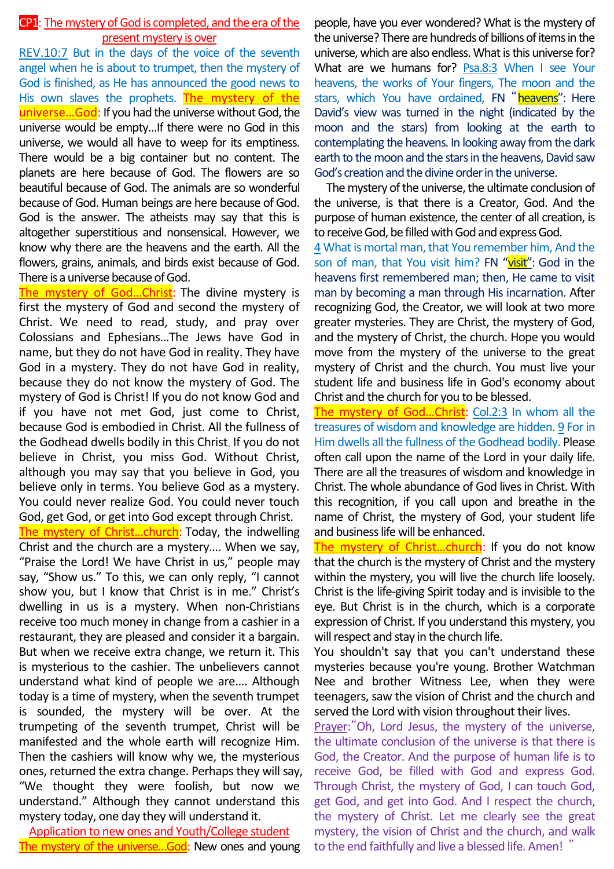## CP1: The mystery of God is completed, and the era of the present mystery is over

REV.10:7 But in the days of the voice of the seventh angel when he is about to trumpet, then the mystery of God is finished, as He has announced the good news to His own slaves the prophets. The mystery of the universe...God: If you had the universe without God, the universe would be empty…If there were no God in this universe, we would all have to weep for its emptiness. There would be a big container but no content. The planets are here because of God. The flowers are so beautiful because of God. The animals are so wonderful because of God. Human beings are here because of God. God is the answer. The atheists may say that this is altogether superstitious and nonsensical. However, we know why there are the heavens and the earth. All the flowers, grains, animals, and birds exist because of God. There is a universe because of God.

The mystery of God...Christ: The divine mystery is first the mystery of God and second the mystery of Christ. We need to read, study, and pray over Colossians and Ephesians…The Jews have God in name, but they do not have God in reality. They have God in a mystery. They do not have God in reality, because they do not know the mystery of God. The mystery of God is Christ! If you do not know God and if you have not met God, just come to Christ, because God is embodied in Christ. All the fullness of the Godhead dwells bodily in this Christ. If you do not believe in Christ, you miss God. Without Christ, although you may say that you believe in God, you believe only in terms. You believe God as a mystery. You could never realize God. You could never touch God, get God, or get into God except through Christ.

The mystery of Christ...church: Today, the indwelling Christ and the church are a mystery…. When we say, "Praise the Lord! We have Christ in us," people may say, "Show us." To this, we can only reply, "I cannot show you, but I know that Christ is in me." Christ's dwelling in us is a mystery. When non-Christians receive too much money in change from a cashier in a restaurant, they are pleased and consider it a bargain. But when we receive extra change, we return it. This is mysterious to the cashier. The unbelievers cannot understand what kind of people we are.... Although today is a time of mystery, when the seventh trumpet is sounded, the mystery will be over. At the trumpeting of the seventh trumpet, Christ will be manifested and the whole earth will recognize Him. Then the cashiers will know why we, the mysterious ones, returned the extra change. Perhaps they will say, "We thought they were foolish, but now we understand." Although they cannot understand this mystery today, one day they will understand it.

Application to new ones and Youth/College student The mystery of the universe...God: New ones and young

people, have you ever wondered? What is the mystery of the universe? There are hundreds of billions of items in the universe, which are also endless. What is this universe for? What are we humans for? Psa.8:3 When I see Your heavens, the works of Your fingers, The moon and the stars, which You have ordained, FN "heavens": Here David's view was turned in the night (indicated by the moon and the stars) from looking at the earth to contemplating the heavens. In looking away from the dark earth to the moon and the stars in the heavens, David saw God's creation and the divine order in the universe.

The mystery of the universe, the ultimate conclusion of the universe, is that there is a Creator, God. And the purpose of human existence, the center of all creation, is to receive God, be filled with God and express God.

4 What is mortal man, that You remember him, And the son of man, that You visit him? FN "visit": God in the heavens first remembered man; then, He came to visit man by becoming a man through His incarnation. After recognizing God, the Creator, we will look at two more greater mysteries. They are Christ, the mystery of God, and the mystery of Christ, the church. Hope you would move from the mystery of the universe to the great mystery of Christ and the church. You must live your student life and business life in God's economy about Christ and the church for you to be blessed.

The mystery of God...Christ: Col.2:3 In whom all the treasures of wisdom and knowledge are hidden. 9 For in Him dwells all the fullness of the Godhead bodily. Please often call upon the name of the Lord in your daily life. There are all the treasures of wisdom and knowledge in Christ. The whole abundance of God lives in Christ. With this recognition, if you call upon and breathe in the name of Christ, the mystery of God, your student life and business life will be enhanced.

The mystery of Christ...church: If you do not know that the church is the mystery of Christ and the mystery within the mystery, you will live the church life loosely. Christ is the life-giving Spirit today and is invisible to the eye. But Christ is in the church, which is a corporate expression of Christ. If you understand this mystery, you will respect and stay in the church life.

You shouldn't say that you can't understand these mysteries because you're young. Brother Watchman Nee and brother Witness Lee, when they were teenagers, saw the vision of Christ and the church and served the Lord with vision throughout their lives.

Prayer:"Oh, Lord Jesus, the mystery of the universe, the ultimate conclusion of the universe is that there is God, the Creator. And the purpose of human life is to receive God, be filled with God and express God. Through Christ, the mystery of God, I can touch God, get God, and get into God. And I respect the church, the mystery of Christ. Let me clearly see the great mystery, the vision of Christ and the church, and walk to the end faithfully and live a blessed life. Amen! "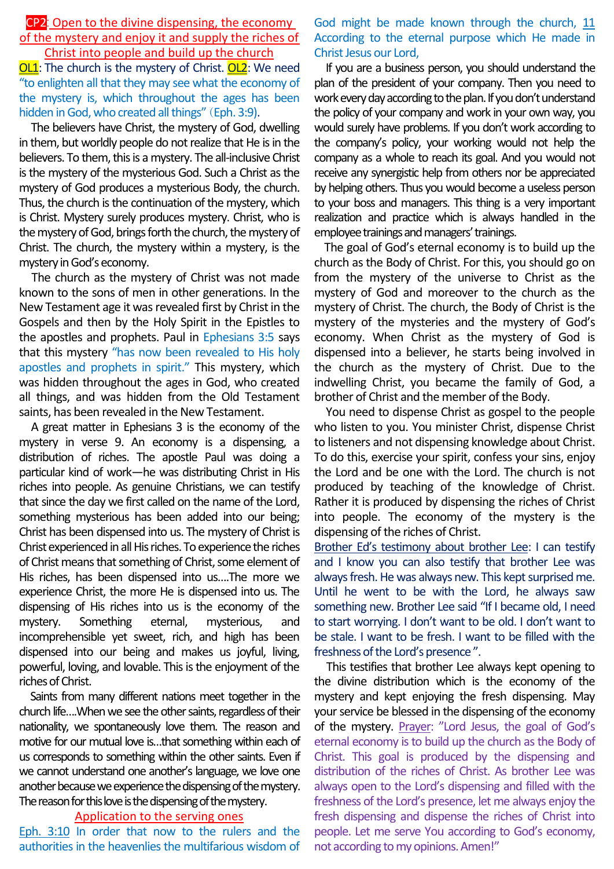CP2: Open to the divine dispensing, the economy of the mystery and enjoy it and supply the riches of Christ into people and build up the church

OL1: The church is the mystery of Christ. OL2: We need "to enlighten all that they may see what the economy of the mystery is, which throughout the ages has been hidden in God, who created all things" (Eph. 3:9).

The believers have Christ, the mystery of God, dwelling in them, but worldly people do not realize that He is in the believers. To them, this is a mystery. The all-inclusive Christ is the mystery of the mysterious God. Such a Christ as the mystery of God produces a mysterious Body, the church. Thus, the church is the continuation of the mystery, which is Christ. Mystery surely produces mystery. Christ, who is the mystery of God, brings forth the church, the mystery of Christ. The church, the mystery within a mystery, is the mystery in God's economy.

The church as the mystery of Christ was not made known to the sons of men in other generations. In the New Testament age it was revealed first by Christ in the Gospels and then by the Holy Spirit in the Epistles to the apostles and prophets. Paul in Ephesians 3:5 says that this mystery "has now been revealed to His holy apostles and prophets in spirit." This mystery, which was hidden throughout the ages in God, who created all things, and was hidden from the Old Testament saints, has been revealed in the New Testament.

A great matter in Ephesians 3 is the economy of the mystery in verse 9. An economy is a dispensing, a distribution of riches. The apostle Paul was doing a particular kind of work—he was distributing Christ in His riches into people. As genuine Christians, we can testify that since the day we first called on the name of the Lord, something mysterious has been added into our being; Christ has been dispensed into us. The mystery of Christ is Christ experienced in all His riches. To experience the riches of Christ means that something of Christ, some element of His riches, has been dispensed into us….The more we experience Christ, the more He is dispensed into us. The dispensing of His riches into us is the economy of the mystery. Something eternal, mysterious, and incomprehensible yet sweet, rich, and high has been dispensed into our being and makes us joyful, living, powerful, loving, and lovable. This is the enjoyment of the riches of Christ.

Saints from many different nations meet together in the church life….When we see the other saints, regardless of their nationality, we spontaneously love them. The reason and motive for our mutual love is…that something within each of us corresponds to something within the other saints. Even if we cannot understand one another's language, we love one another because we experience the dispensing of the mystery. The reason for this love is the dispensing of the mystery.

## Application to the serving ones

Eph. 3:10 In order that now to the rulers and the authorities in the heavenlies the multifarious wisdom of God might be made known through the church, 11 According to the eternal purpose which He made in Christ Jesus our Lord,

If you are a business person, you should understand the plan of the president of your company. Then you need to work every day according to the plan. If you don't understand the policy of your company and work in your own way, you would surely have problems. If you don't work according to the company's policy, your working would not help the company as a whole to reach its goal. And you would not receive any synergistic help from others nor be appreciated by helping others. Thus you would become a useless person to your boss and managers. This thing is a very important realization and practice which is always handled in the employee trainings and managers'trainings.

The goal of God's eternal economy is to build up the church as the Body of Christ. For this, you should go on from the mystery of the universe to Christ as the mystery of God and moreover to the church as the mystery of Christ. The church, the Body of Christ is the mystery of the mysteries and the mystery of God's economy. When Christ as the mystery of God is dispensed into a believer, he starts being involved in the church as the mystery of Christ. Due to the indwelling Christ, you became the family of God, a brother of Christ and the member of the Body.

You need to dispense Christ as gospel to the people who listen to you. You minister Christ, dispense Christ to listeners and not dispensing knowledge about Christ. To do this, exercise your spirit, confess your sins, enjoy the Lord and be one with the Lord. The church is not produced by teaching of the knowledge of Christ. Rather it is produced by dispensing the riches of Christ into people. The economy of the mystery is the dispensing of the riches of Christ.

Brother Ed's testimony about brother Lee: I can testify and I know you can also testify that brother Lee was always fresh. He was always new. This kept surprised me. Until he went to be with the Lord, he always saw something new. Brother Lee said "If I became old, I need to start worrying. I don't want to be old. I don't want to be stale. I want to be fresh. I want to be filled with the freshness of the Lord's presence ".

This testifies that brother Lee always kept opening to the divine distribution which is the economy of the mystery and kept enjoying the fresh dispensing. May your service be blessed in the dispensing of the economy of the mystery. Prayer: "Lord Jesus, the goal of God's eternal economy is to build up the church as the Body of Christ. This goal is produced by the dispensing and distribution of the riches of Christ. As brother Lee was always open to the Lord's dispensing and filled with the freshness of the Lord's presence, let me always enjoy the fresh dispensing and dispense the riches of Christ into people. Let me serve You according to God's economy, not according to my opinions. Amen!"